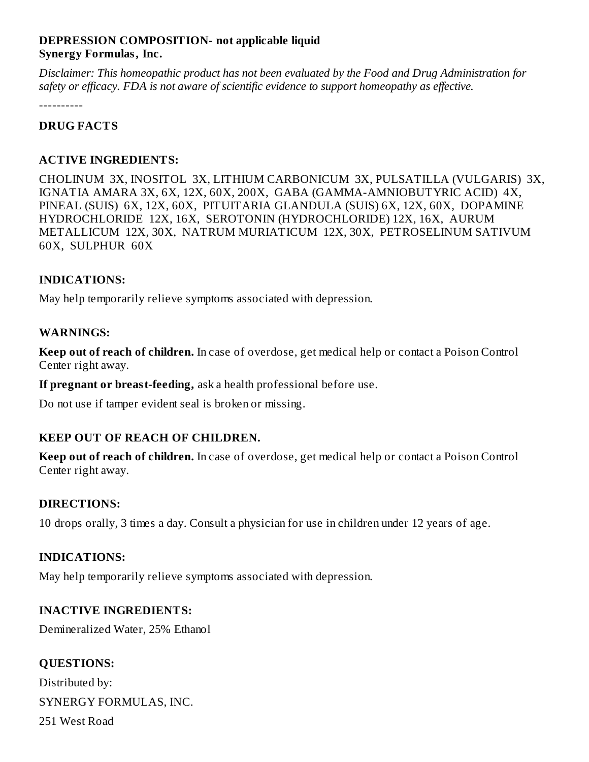### **DEPRESSION COMPOSITION- not applicable liquid Synergy Formulas, Inc.**

*Disclaimer: This homeopathic product has not been evaluated by the Food and Drug Administration for safety or efficacy. FDA is not aware of scientific evidence to support homeopathy as effective.*

----------

## **DRUG FACTS**

## **ACTIVE INGREDIENTS:**

CHOLINUM 3X, INOSITOL 3X, LITHIUM CARBONICUM 3X, PULSATILLA (VULGARIS) 3X, IGNATIA AMARA 3X, 6X, 12X, 60X, 200X, GABA (GAMMA-AMNIOBUTYRIC ACID) 4X, PINEAL (SUIS) 6X, 12X, 60X, PITUITARIA GLANDULA (SUIS) 6X, 12X, 60X, DOPAMINE HYDROCHLORIDE 12X, 16X, SEROTONIN (HYDROCHLORIDE) 12X, 16X, AURUM METALLICUM 12X, 30X, NATRUM MURIATICUM 12X, 30X, PETROSELINUM SATIVUM 60X, SULPHUR 60X

#### **INDICATIONS:**

May help temporarily relieve symptoms associated with depression.

#### **WARNINGS:**

**Keep out of reach of children.** In case of overdose, get medical help or contact a Poison Control Center right away.

**If pregnant or breast-feeding,** ask a health professional before use.

Do not use if tamper evident seal is broken or missing.

#### **KEEP OUT OF REACH OF CHILDREN.**

**Keep out of reach of children.** In case of overdose, get medical help or contact a Poison Control Center right away.

#### **DIRECTIONS:**

10 drops orally, 3 times a day. Consult a physician for use in children under 12 years of age.

#### **INDICATIONS:**

May help temporarily relieve symptoms associated with depression.

#### **INACTIVE INGREDIENTS:**

Demineralized Water, 25% Ethanol

# **QUESTIONS:**

Distributed by: SYNERGY FORMULAS, INC. 251 West Road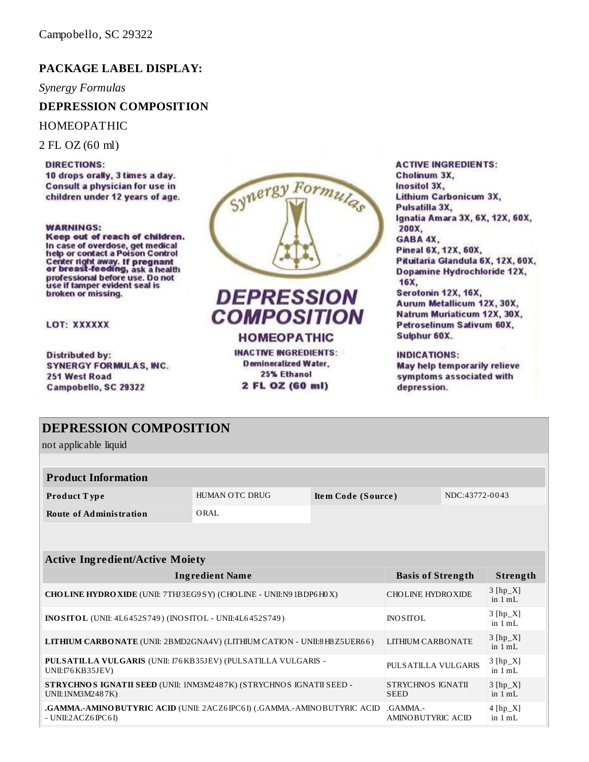## **PACKAGE LABEL DISPLAY:**

*Synergy Formulas*

#### **DEPRESSION COMPOSITION**

HOMEOPATHIC

2 FL OZ (60 ml)

**DIRECTIONS:** 10 drops orally, 3 times a day. Consult a physician for use in children under 12 years of age.

#### **WARNINGS:**

Keep out of reach of children. In case of overdose, get medical<br>help or contact a Poison Control Center right away. If pregnant<br>or breast-feeding, ask a health professional before use. Do not<br>use if tamper evident seal is broken or missing.

LOT: XXXXXX

**Distributed by: SYNERGY FORMULAS, INC.** 251 West Road Campobello, SC 29322



**DEPRESSION COMPOSITION HOMEOPATHIC** 

**INACTIVE INGREDIENTS:** 

**Demineralized Water.** 25% Ethanol 2 FL OZ (60 ml)

**ACTIVE INGREDIENTS:** Cholinum 3X, Inositol 3X, Lithium Carbonicum 3X, Pulsatilla 3X, Ignatia Amara 3X, 6X, 12X, 60X, 200X. GABA 4X, Pineal 6X, 12X, 60X, Pituitaria Glandula 6X, 12X, 60X, Dopamine Hydrochloride 12X. 16X. Serotonin 12X, 16X, Aurum Metallicum 12X, 30X, Natrum Muriaticum 12X, 30X, Petroselinum Sativum 60X. Sulphur 60X.

**INDICATIONS:** May help temporarily relieve symptoms associated with depression.

| <b>DEPRESSION COMPOSITION</b>                                                                                                                 |                |                                      |                                  |                         |          |
|-----------------------------------------------------------------------------------------------------------------------------------------------|----------------|--------------------------------------|----------------------------------|-------------------------|----------|
| not applicable liquid                                                                                                                         |                |                                      |                                  |                         |          |
|                                                                                                                                               |                |                                      |                                  |                         |          |
| <b>Product Information</b>                                                                                                                    |                |                                      |                                  |                         |          |
| Product Type                                                                                                                                  | HUMAN OTC DRUG | NDC:43772-0043<br>Item Code (Source) |                                  |                         |          |
| <b>Route of Administration</b>                                                                                                                | ORAL           |                                      |                                  |                         |          |
|                                                                                                                                               |                |                                      |                                  |                         |          |
|                                                                                                                                               |                |                                      |                                  |                         |          |
| <b>Active Ingredient/Active Moiety</b>                                                                                                        |                |                                      |                                  |                         |          |
| <b>Ingredient Name</b>                                                                                                                        |                |                                      | <b>Basis of Strength</b>         |                         | Strength |
| CHOLINE HYDRO XIDE (UNII: 7THJ3EG9 SY) (CHOLINE - UNII:N9 1BDP6 H0 X)<br>CHOLINE HYDROXIDE                                                    |                |                                      | $3$ [hp_X]<br>in $1 mL$          |                         |          |
| <b>INO SITOL</b> (UNII: 4L6452S749) (INO SITOL - UNII:4L6452S749)<br><b>INOSITOL</b>                                                          |                |                                      |                                  | $3$ [hp_X]<br>in $1 mL$ |          |
| LITHIUM CARBONATE (UNII: 2BMD2GNA4V) (LITHIUM CATION - UNII:8 H8 Z5UER66)<br><b>LITHIUM CARBONATE</b>                                         |                |                                      |                                  | $3$ [hp_X]<br>in $1 mL$ |          |
| PULSATILLA VULGARIS (UNII: 176 KB35JEV) (PULSATILLA VULGARIS -<br>PULSATILLA VULGARIS<br>UNII:I76 KB35JEV)                                    |                |                                      | $3$ [hp_X]<br>in $1 mL$          |                         |          |
| STRYCHNOS IGNATII SEED (UNII: 1NM3M2487K) (STRYCHNOS IGNATII SEED -<br>STRYCHNOS IGNATII<br>UNII:1NM3M2487K)<br><b>SEED</b>                   |                |                                      | $3$ [hp_X]<br>in $1 \text{ m}$ . |                         |          |
| .GAMMA.-AMINO BUTYRIC ACID (UNII: 2ACZ6IPC6I) (.GAMMA.-AMINO BUTYRIC ACID<br>$GAMMA$ .<br>- UNII: $2ACZ6$ IPC6 I)<br><b>AMINOBUTYRIC ACID</b> |                |                                      | $4$ [hp $X$ ]<br>in $1 mL$       |                         |          |
|                                                                                                                                               |                |                                      |                                  |                         |          |